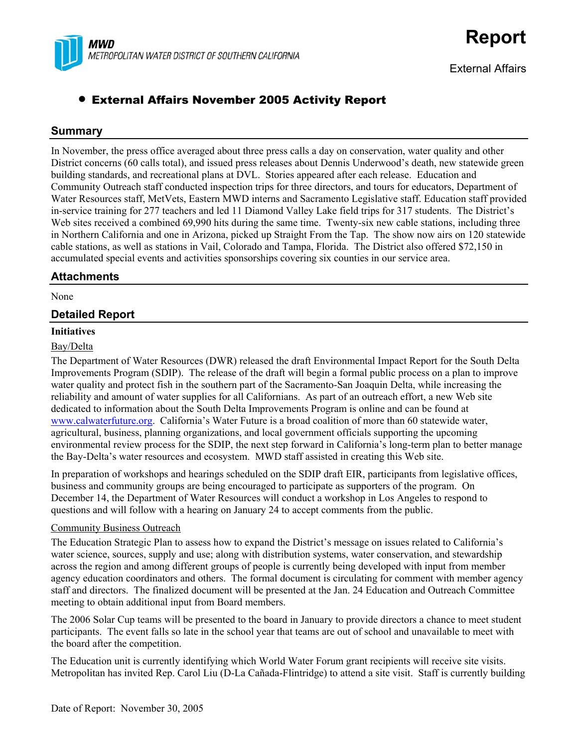

External Affairs

# • External Affairs November 2005 Activity Report

## **Summary**

In November, the press office averaged about three press calls a day on conservation, water quality and other District concerns (60 calls total), and issued press releases about Dennis Underwood's death, new statewide green building standards, and recreational plans at DVL. Stories appeared after each release. Education and Community Outreach staff conducted inspection trips for three directors, and tours for educators, Department of Water Resources staff, MetVets, Eastern MWD interns and Sacramento Legislative staff. Education staff provided in-service training for 277 teachers and led 11 Diamond Valley Lake field trips for 317 students. The District's Web sites received a combined 69,990 hits during the same time. Twenty-six new cable stations, including three in Northern California and one in Arizona, picked up Straight From the Tap. The show now airs on 120 statewide cable stations, as well as stations in Vail, Colorado and Tampa, Florida. The District also offered \$72,150 in accumulated special events and activities sponsorships covering six counties in our service area.

## **Attachments**

None

## **Detailed Report**

#### **Initiatives**

#### Bay/Delta

The Department of Water Resources (DWR) released the draft Environmental Impact Report for the South Delta Improvements Program (SDIP). The release of the draft will begin a formal public process on a plan to improve water quality and protect fish in the southern part of the Sacramento-San Joaquin Delta, while increasing the reliability and amount of water supplies for all Californians. As part of an outreach effort, a new Web site dedicated to information about the South Delta Improvements Program is online and can be found at [www.calwaterfuture.org.](http://www.calwaterfuture.org/) California's Water Future is a broad coalition of more than 60 statewide water, agricultural, business, planning organizations, and local government officials supporting the upcoming environmental review process for the SDIP, the next step forward in California's long-term plan to better manage the Bay-Delta's water resources and ecosystem. MWD staff assisted in creating this Web site.

In preparation of workshops and hearings scheduled on the SDIP draft EIR, participants from legislative offices, business and community groups are being encouraged to participate as supporters of the program. On December 14, the Department of Water Resources will conduct a workshop in Los Angeles to respond to questions and will follow with a hearing on January 24 to accept comments from the public.

## Community Business Outreach

The Education Strategic Plan to assess how to expand the District's message on issues related to California's water science, sources, supply and use; along with distribution systems, water conservation, and stewardship across the region and among different groups of people is currently being developed with input from member agency education coordinators and others. The formal document is circulating for comment with member agency staff and directors. The finalized document will be presented at the Jan. 24 Education and Outreach Committee meeting to obtain additional input from Board members.

The 2006 Solar Cup teams will be presented to the board in January to provide directors a chance to meet student participants. The event falls so late in the school year that teams are out of school and unavailable to meet with the board after the competition.

The Education unit is currently identifying which World Water Forum grant recipients will receive site visits. Metropolitan has invited Rep. Carol Liu (D-La Cañada-Flintridge) to attend a site visit. Staff is currently building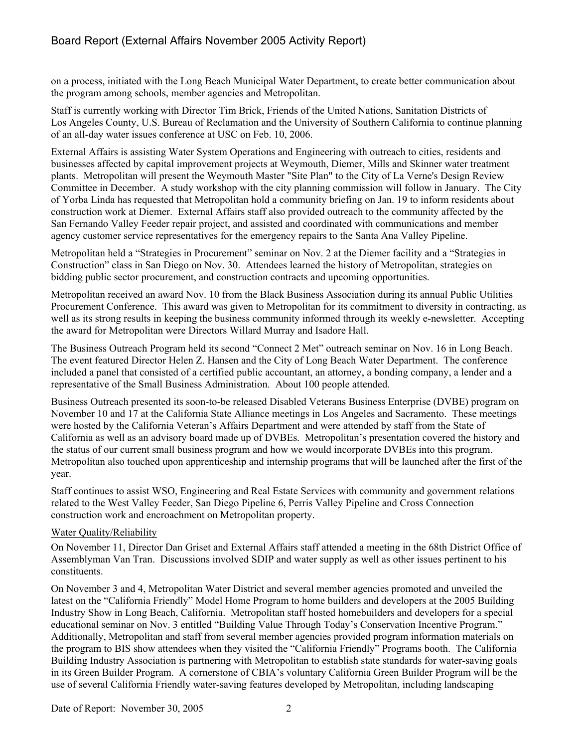# Board Report (External Affairs November 2005 Activity Report)

on a process, initiated with the Long Beach Municipal Water Department, to create better communication about the program among schools, member agencies and Metropolitan.

Staff is currently working with Director Tim Brick, Friends of the United Nations, Sanitation Districts of Los Angeles County, U.S. Bureau of Reclamation and the University of Southern California to continue planning of an all-day water issues conference at USC on Feb. 10, 2006.

External Affairs is assisting Water System Operations and Engineering with outreach to cities, residents and businesses affected by capital improvement projects at Weymouth, Diemer, Mills and Skinner water treatment plants. Metropolitan will present the Weymouth Master "Site Plan" to the City of La Verne's Design Review Committee in December. A study workshop with the city planning commission will follow in January. The City of Yorba Linda has requested that Metropolitan hold a community briefing on Jan. 19 to inform residents about construction work at Diemer. External Affairs staff also provided outreach to the community affected by the San Fernando Valley Feeder repair project, and assisted and coordinated with communications and member agency customer service representatives for the emergency repairs to the Santa Ana Valley Pipeline.

Metropolitan held a "Strategies in Procurement" seminar on Nov. 2 at the Diemer facility and a "Strategies in Construction" class in San Diego on Nov. 30. Attendees learned the history of Metropolitan, strategies on bidding public sector procurement, and construction contracts and upcoming opportunities.

Metropolitan received an award Nov. 10 from the Black Business Association during its annual Public Utilities Procurement Conference. This award was given to Metropolitan for its commitment to diversity in contracting, as well as its strong results in keeping the business community informed through its weekly e-newsletter. Accepting the award for Metropolitan were Directors Willard Murray and Isadore Hall.

The Business Outreach Program held its second "Connect 2 Met" outreach seminar on Nov. 16 in Long Beach. The event featured Director Helen Z. Hansen and the City of Long Beach Water Department. The conference included a panel that consisted of a certified public accountant, an attorney, a bonding company, a lender and a representative of the Small Business Administration. About 100 people attended.

Business Outreach presented its soon-to-be released Disabled Veterans Business Enterprise (DVBE) program on November 10 and 17 at the California State Alliance meetings in Los Angeles and Sacramento. These meetings were hosted by the California Veteran's Affairs Department and were attended by staff from the State of California as well as an advisory board made up of DVBEs. Metropolitan's presentation covered the history and the status of our current small business program and how we would incorporate DVBEs into this program. Metropolitan also touched upon apprenticeship and internship programs that will be launched after the first of the year.

Staff continues to assist WSO, Engineering and Real Estate Services with community and government relations related to the West Valley Feeder, San Diego Pipeline 6, Perris Valley Pipeline and Cross Connection construction work and encroachment on Metropolitan property.

#### Water Quality/Reliability

On November 11, Director Dan Griset and External Affairs staff attended a meeting in the 68th District Office of Assemblyman Van Tran. Discussions involved SDIP and water supply as well as other issues pertinent to his constituents.

On November 3 and 4, Metropolitan Water District and several member agencies promoted and unveiled the latest on the "California Friendly" Model Home Program to home builders and developers at the 2005 Building Industry Show in Long Beach, California. Metropolitan staff hosted homebuilders and developers for a special educational seminar on Nov. 3 entitled "Building Value Through Today's Conservation Incentive Program." Additionally, Metropolitan and staff from several member agencies provided program information materials on the program to BIS show attendees when they visited the "California Friendly" Programs booth. The California Building Industry Association is partnering with Metropolitan to establish state standards for water-saving goals in its Green Builder Program. A cornerstone of CBIA's voluntary California Green Builder Program will be the use of several California Friendly water-saving features developed by Metropolitan, including landscaping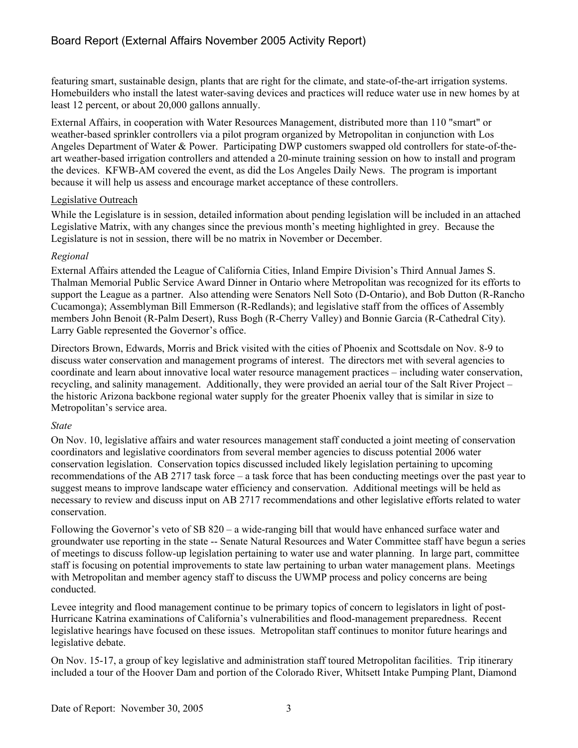featuring smart, sustainable design, plants that are right for the climate, and state-of-the-art irrigation systems. Homebuilders who install the latest water-saving devices and practices will reduce water use in new homes by at least 12 percent, or about 20,000 gallons annually.

External Affairs, in cooperation with Water Resources Management, distributed more than 110 "smart" or weather-based sprinkler controllers via a pilot program organized by Metropolitan in conjunction with Los Angeles Department of Water & Power. Participating DWP customers swapped old controllers for state-of-theart weather-based irrigation controllers and attended a 20-minute training session on how to install and program the devices. KFWB-AM covered the event, as did the Los Angeles Daily News. The program is important because it will help us assess and encourage market acceptance of these controllers.

## Legislative Outreach

While the Legislature is in session, detailed information about pending legislation will be included in an attached Legislative Matrix, with any changes since the previous month's meeting highlighted in grey. Because the Legislature is not in session, there will be no matrix in November or December.

## *Regional*

External Affairs attended the League of California Cities, Inland Empire Division's Third Annual James S. Thalman Memorial Public Service Award Dinner in Ontario where Metropolitan was recognized for its efforts to support the League as a partner. Also attending were Senators Nell Soto (D-Ontario), and Bob Dutton (R-Rancho Cucamonga); Assemblyman Bill Emmerson (R-Redlands); and legislative staff from the offices of Assembly members John Benoit (R-Palm Desert), Russ Bogh (R-Cherry Valley) and Bonnie Garcia (R-Cathedral City). Larry Gable represented the Governor's office.

Directors Brown, Edwards, Morris and Brick visited with the cities of Phoenix and Scottsdale on Nov. 8-9 to discuss water conservation and management programs of interest. The directors met with several agencies to coordinate and learn about innovative local water resource management practices – including water conservation, recycling, and salinity management. Additionally, they were provided an aerial tour of the Salt River Project – the historic Arizona backbone regional water supply for the greater Phoenix valley that is similar in size to Metropolitan's service area.

## *State*

On Nov. 10, legislative affairs and water resources management staff conducted a joint meeting of conservation coordinators and legislative coordinators from several member agencies to discuss potential 2006 water conservation legislation. Conservation topics discussed included likely legislation pertaining to upcoming recommendations of the AB 2717 task force – a task force that has been conducting meetings over the past year to suggest means to improve landscape water efficiency and conservation. Additional meetings will be held as necessary to review and discuss input on AB 2717 recommendations and other legislative efforts related to water conservation.

Following the Governor's veto of SB 820 – a wide-ranging bill that would have enhanced surface water and groundwater use reporting in the state -- Senate Natural Resources and Water Committee staff have begun a series of meetings to discuss follow-up legislation pertaining to water use and water planning. In large part, committee staff is focusing on potential improvements to state law pertaining to urban water management plans. Meetings with Metropolitan and member agency staff to discuss the UWMP process and policy concerns are being conducted.

Levee integrity and flood management continue to be primary topics of concern to legislators in light of post-Hurricane Katrina examinations of California's vulnerabilities and flood-management preparedness. Recent legislative hearings have focused on these issues. Metropolitan staff continues to monitor future hearings and legislative debate.

On Nov. 15-17, a group of key legislative and administration staff toured Metropolitan facilities. Trip itinerary included a tour of the Hoover Dam and portion of the Colorado River, Whitsett Intake Pumping Plant, Diamond